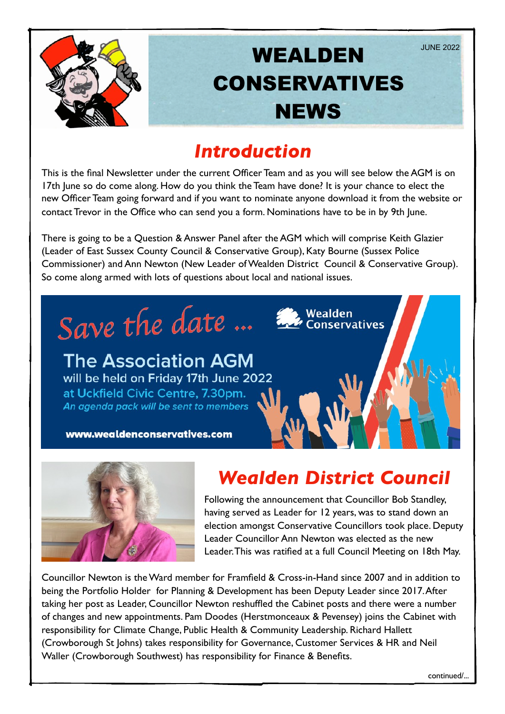

### *Introduction*

This is the final Newsletter under the current Officer Team and as you will see below the AGM is on 17th June so do come along. How do you think the Team have done? It is your chance to elect the new Officer Team going forward and if you want to nominate anyone download it from the website or contact Trevor in the Office who can send you a form. Nominations have to be in by 9th June.

There is going to be a Question & Answer Panel after the AGM which will comprise Keith Glazier (Leader of East Sussex County Council & Conservative Group), Katy Bourne (Sussex Police Commissioner) and Ann Newton (New Leader of Wealden District Council & Conservative Group). So come along armed with lots of questions about local and national issues.





# *Wealden District Council*

Following the announcement that Councillor Bob Standley, having served as Leader for 12 years, was to stand down an election amongst Conservative Councillors took place. Deputy Leader Councillor Ann Newton was elected as the new Leader. This was ratified at a full Council Meeting on 18th May.

Councillor Newton is the Ward member for Framfield & Cross-in-Hand since 2007 and in addition to being the Portfolio Holder for Planning & Development has been Deputy Leader since 2017. After taking her post as Leader, Councillor Newton reshuffled the Cabinet posts and there were a number of changes and new appointments. Pam Doodes (Herstmonceaux & Pevensey) joins the Cabinet with responsibility for Climate Change, Public Health & Community Leadership. Richard Hallett (Crowborough St Johns) takes responsibility for Governance, Customer Services & HR and Neil Waller (Crowborough Southwest) has responsibility for Finance & Benefits.

continued/...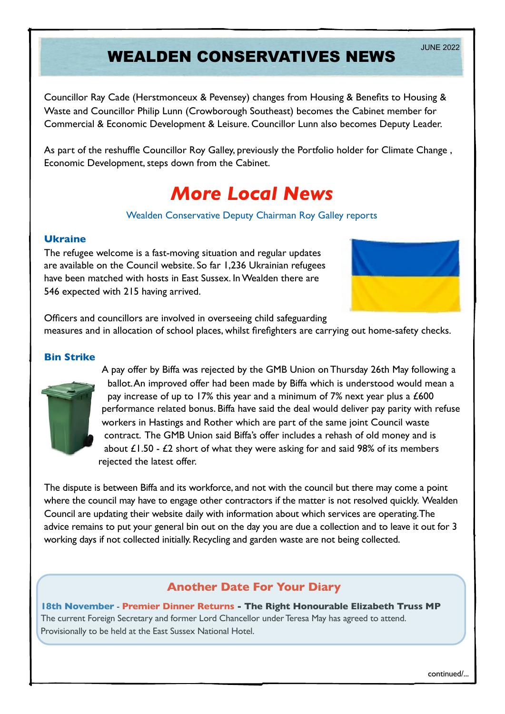# WEALDEN CONSERVATIVES NEWS

Councillor Ray Cade (Herstmonceux & Pevensey) changes from Housing & Benefits to Housing & Waste and Councillor Philip Lunn (Crowborough Southeast) becomes the Cabinet member for Commercial & Economic Development & Leisure. Councillor Lunn also becomes Deputy Leader.

As part of the reshuffle Councillor Roy Galley, previously the Portfolio holder for Climate Change , Economic Development, steps down from the Cabinet.

### *More Local News*

#### Wealden Conservative Deputy Chairman Roy Galley reports

#### **Ukraine**

The refugee welcome is a fast-moving situation and regular updates are available on the Council website. So far 1,236 Ukrainian refugees have been matched with hosts in East Sussex. In Wealden there are 546 expected with 215 having arrived.



Officers and councillors are involved in overseeing child safeguarding measures and in allocation of school places, whilst firefighters are carrying out home-safety checks.

#### **Bin Strike**



A pay offer by Biffa was rejected by the GMB Union on Thursday 26th May following a ballot. An improved offer had been made by Biffa which is understood would mean a pay increase of up to 17% this year and a minimum of 7% next year plus a £600 performance related bonus. Biffa have said the deal would deliver pay parity with refuse workers in Hastings and Rother which are part of the same joint Council waste contract. The GMB Union said Biffa's offer includes a rehash of old money and is about  $£1.50 - £2$  short of what they were asking for and said 98% of its members rejected the latest offer.

The dispute is between Biffa and its workforce, and not with the council but there may come a point where the council may have to engage other contractors if the matter is not resolved quickly. Wealden Council are updating their website daily with information about which services are operating. The advice remains to put your general bin out on the day you are due a collection and to leave it out for 3 working days if not collected initially. Recycling and garden waste are not being collected.

### **Another Date For Your Diary**

**18th November** - **Premier Dinner Returns - The Right Honourable Elizabeth Truss MP**  The current Foreign Secretary and former Lord Chancellor under Teresa May has agreed to attend. Provisionally to be held at the East Sussex National Hotel.